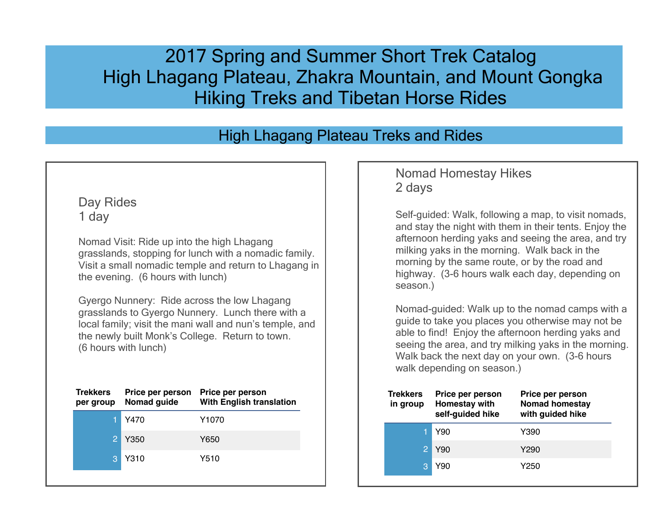# 2017 Spring and Summer Short Trek Catalog High Lhagang Plateau, Zhakra Mountain, and Mount Gongka Hiking Treks and Tibetan Horse Rides

# High Lhagang Plateau Treks and Rides

### Day Rides 1 day

Nomad Visit: Ride up into the high Lhagang grasslands, stopping for lunch with a nomadic family. Visit a small nomadic temple and return to Lhagang in the evening. (6 hours with lunch)

Gyergo Nunnery: Ride across the low Lhagang grasslands to Gyergo Nunnery. Lunch there with a local family; visit the mani wall and nun's temple, and the newly built Monk's College. Return to town. (6 hours with lunch)

| Y470<br>Y1070<br>2<br>Y350<br>Y650<br>Y310<br>Y510<br>З | <b>Trekkers</b><br>per group | Price per person<br>Nomad guide | Price per person<br><b>With English translation</b> |
|---------------------------------------------------------|------------------------------|---------------------------------|-----------------------------------------------------|
|                                                         |                              |                                 |                                                     |
|                                                         |                              |                                 |                                                     |
|                                                         |                              |                                 |                                                     |

#### Nomad Homestay Hikes 2 days

Self-guided: Walk, following a map, to visit nomads, and stay the night with them in their tents. Enjoy the afternoon herding yaks and seeing the area, and try milking yaks in the morning. Walk back in the morning by the same route, or by the road and highway. (3-6 hours walk each day, depending on season.)

Nomad-guided: Walk up to the nomad camps with a guide to take you places you otherwise may not be able to find! Enjoy the afternoon herding yaks and seeing the area, and try milking yaks in the morning. Walk back the next day on your own. (3-6 hours walk depending on season.)

| <b>Trekkers</b><br>in group | Price per person<br>Homestay with<br>self-guided hike | Price per person<br><b>Nomad homestay</b><br>with guided hike |
|-----------------------------|-------------------------------------------------------|---------------------------------------------------------------|
|                             | Y90                                                   | Y390                                                          |
|                             | Y90                                                   | Y290                                                          |
|                             | Y90                                                   | Y250                                                          |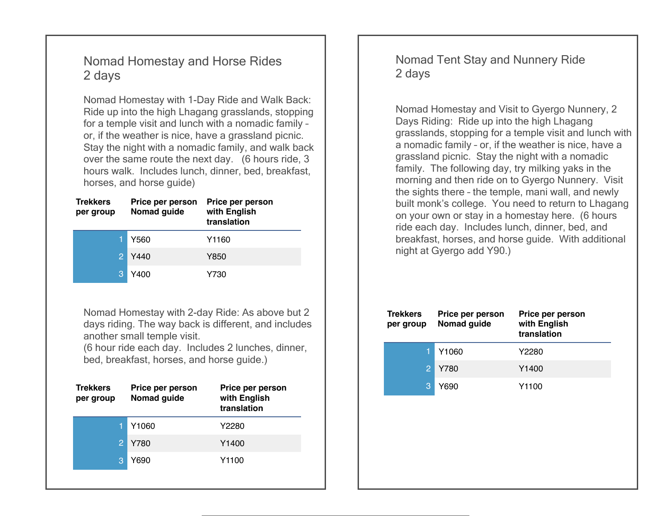### Nomad Homestay and Horse Rides 2 days

Nomad Homestay with 1-Day Ride and Walk Back: Ride up into the high Lhagang grasslands, stopping for a temple visit and lunch with a nomadic family – or, if the weather is nice, have a grassland picnic. Stay the night with a nomadic family, and walk back over the same route the next day. (6 hours ride, 3 hours walk. Includes lunch, dinner, bed, breakfast, horses, and horse guide)

| <b>Trekkers</b><br>per group | Price per person<br>Nomad guide | Price per person<br>with English<br>translation |
|------------------------------|---------------------------------|-------------------------------------------------|
|                              | Y560                            | Y1160                                           |
|                              | Y440                            | Y850                                            |
|                              | Y400                            | Y730                                            |

Nomad Homestay with 2-day Ride: As above but 2 days riding. The way back is different, and includes another small temple visit.

(6 hour ride each day. Includes 2 lunches, dinner, bed, breakfast, horses, and horse guide.)

| <b>Trekkers</b><br>per group | Price per person<br>Nomad guide | Price per person<br>with English<br>translation |
|------------------------------|---------------------------------|-------------------------------------------------|
|                              | Y1060                           | Y2280                                           |
|                              | Y780                            | Y <sub>1400</sub>                               |
| З                            | Y690                            | Y1100                                           |
|                              |                                 |                                                 |

Nomad Tent Stay and Nunnery Ride 2 days

Nomad Homestay and Visit to Gyergo Nunnery, 2 Days Riding: Ride up into the high Lhagang grasslands, stopping for a temple visit and lunch with a nomadic family – or, if the weather is nice, have a grassland picnic. Stay the night with a nomadic family. The following day, try milking yaks in the morning and then ride on to Gyergo Nunnery. Visit the sights there – the temple, mani wall, and newly built monk's college. You need to return to Lhagang on your own or stay in a homestay here. (6 hours ride each day. Includes lunch, dinner, bed, and breakfast, horses, and horse guide. With additional night at Gyergo add Y90.)

| <b>Trekkers</b><br>per group | Price per person<br>Nomad guide | Price per person<br>with English<br>translation |
|------------------------------|---------------------------------|-------------------------------------------------|
|                              | Y <sub>1060</sub>               | Y2280                                           |
| 2                            | Y780                            | Y <sub>1400</sub>                               |
|                              | Y690                            | Y1100                                           |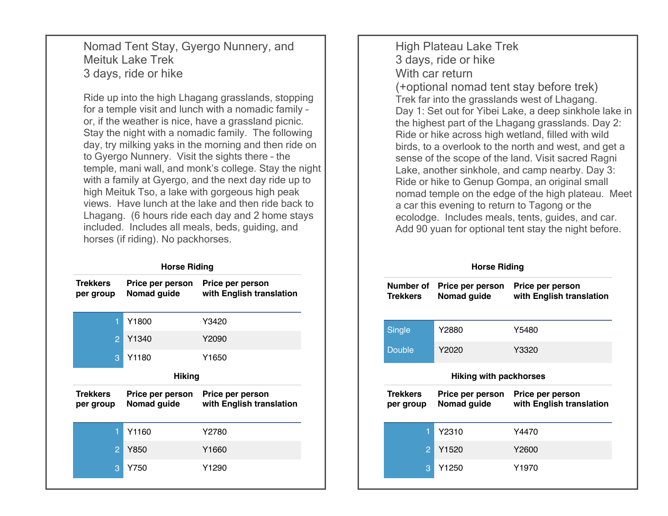Nomad Tent Stay, Gyergo Nunnery, and Meituk Lake Trek 3 days, ride or hike

Ride up into the high Lhagang grasslands, stopping for a temple visit and lunch with a nomadic family – or, if the weather is nice, have a grassland picnic. Stay the night with a nomadic family. The following day, try milking yaks in the morning and then ride on to Gyergo Nunnery. Visit the sights there – the temple, mani wall, and monk's college. Stay the night with a family at Gyergo, and the next day ride up to high Meituk Tso, a lake with gorgeous high peak views. Have lunch at the lake and then ride back to Lhagang. (6 hours ride each day and 2 home stays included. Includes all meals, beds, guiding, and horses (if riding). No packhorses.

#### **Horse Riding**

| <b>Trekkers</b><br>per group | Price per person<br>Nomad guide | Price per person<br>with English translation |  |
|------------------------------|---------------------------------|----------------------------------------------|--|
| 1                            | Y1800                           | Y3420                                        |  |
| 2                            | Y1340                           | Y2090                                        |  |
| 3                            | Y1180                           | Y1650                                        |  |
| <b>Hiking</b>                |                                 |                                              |  |
| <b>Trekkers</b><br>per group | Price per person<br>Nomad guide | Price per person<br>with English translation |  |
| 1                            | Y1160                           | Y2780                                        |  |
| $\overline{P}$               | Y850                            | Y1660                                        |  |
| 3                            | Y750                            | Y1290                                        |  |

High Plateau Lake Trek 3 days, ride or hike With car return (+optional nomad tent stay before trek) Trek far into the grasslands west of Lhagang. Day 1: Set out for Yibei Lake, a deep sinkhole lake in the highest part of the Lhagang grasslands. Day 2: Ride or hike across high wetland, filled with wild birds, to a overlook to the north and west, and get a sense of the scope of the land. Visit sacred Ragni Lake, another sinkhole, and camp nearby. Day 3: Ride or hike to Genup Gompa, an original small nomad temple on the edge of the high plateau. Meet a car this evening to return to Tagong or the ecolodge. Includes meals, tents, guides, and car. Add 90 yuan for optional tent stay the night before.

#### **Horse Riding**

| Number of<br><b>Trekkers</b> | Price per person<br>Nomad guide | Price per person<br>with English translation |  |  |
|------------------------------|---------------------------------|----------------------------------------------|--|--|
| Single                       | Y2880                           | Y5480                                        |  |  |
| Double                       | Y2020                           | Y3320                                        |  |  |
| Hiking with packhorses       |                                 |                                              |  |  |
|                              |                                 |                                              |  |  |
| <b>Trekkers</b><br>per group | Price per person<br>Nomad guide | Price per person<br>with English translation |  |  |
| 1                            | Y2310                           | Y4470                                        |  |  |
| $\overline{2}$               | Y <sub>1520</sub>               | Y2600                                        |  |  |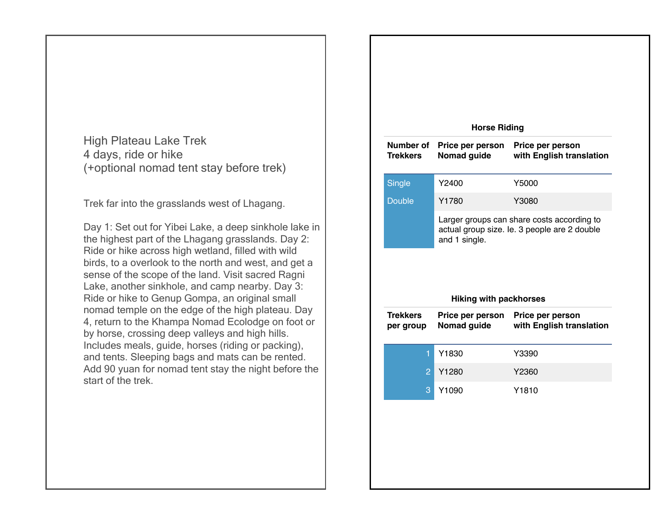High Plateau Lake Trek 4 days, ride or hike (+optional nomad tent stay before trek)

Trek far into the grasslands west of Lhagang.

Day 1: Set out for Yibei Lake, a deep sinkhole lake in the highest part of the Lhagang grasslands. Day 2: Ride or hike across high wetland, filled with wild birds, to a overlook to the north and west, and get a sense of the scope of the land. Visit sacred Ragni Lake, another sinkhole, and camp nearby. Day 3: Ride or hike to Genup Gompa, an original small nomad temple on the edge of the high plateau. Day 4, return to the Khampa Nomad Ecolodge on foot or by horse, crossing deep valleys and high hills. Includes meals, guide, horses (riding or packing), and tents. Sleeping bags and mats can be rented. Add 90 yuan for nomad tent stay the night before the start of the trek.

|                              | <b>Horse Riding</b>                            |                                                                                            |
|------------------------------|------------------------------------------------|--------------------------------------------------------------------------------------------|
| Number of<br><b>Trekkers</b> | Price per person<br>Nomad guide                | Price per person<br>with English translation                                               |
| <b>Single</b>                | Y2400                                          | Y5000                                                                                      |
| <b>Double</b>                | Y1780                                          | Y3080                                                                                      |
|                              |                                                | Larger groups can share costs according to<br>actual group size. le. 3 people are 2 double |
|                              | and 1 single.<br><b>Hiking with packhorses</b> |                                                                                            |
| <b>Trekkers</b><br>per group | Price per person<br>Nomad guide                | Price per person<br>with English translation                                               |
| 1                            | Y1830                                          | Y3390                                                                                      |
| $\overline{2}$               | Y1280                                          | Y2360                                                                                      |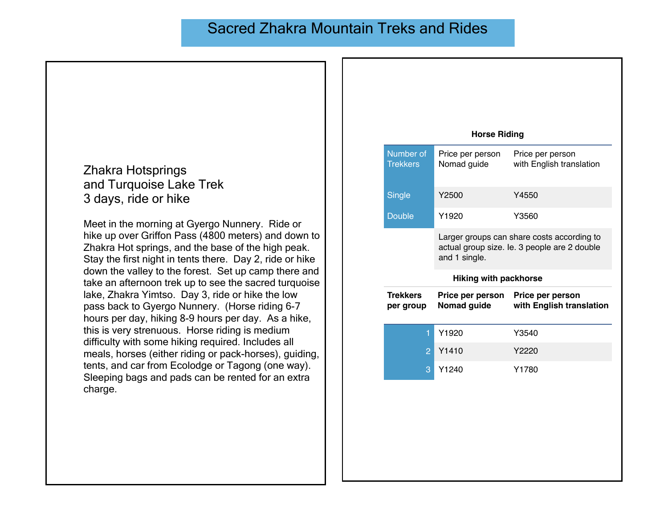## Sacred Zhakra Mountain Treks and Rides

#### Zhakra Hotsprings and Turquoise Lake Trek 3 days, ride or hike

Meet in the morning at Gyergo Nunnery. Ride or hike up over Griffon Pass (4800 meters) and down to Zhakra Hot springs, and the base of the high peak. Stay the first night in tents there. Day 2, ride or hike down the valley to the forest. Set up camp there and take an afternoon trek up to see the sacred turquoise lake, Zhakra Yimtso. Day 3, ride or hike the low pass back to Gyergo Nunnery. (Horse riding 6-7 hours per day, hiking 8-9 hours per day. As a hike, this is very strenuous. Horse riding is medium difficulty with some hiking required. Includes all meals, horses (either riding or pack-horses), guiding, tents, and car from Ecolodge or Tagong (one way). Sleeping bags and pads can be rented for an extra charge.

| <b>Horse Riding</b>          |                                 |                                                                                            |  |
|------------------------------|---------------------------------|--------------------------------------------------------------------------------------------|--|
| Number of<br><b>Trekkers</b> | Price per person<br>Nomad guide | Price per person<br>with English translation                                               |  |
| <b>Single</b>                | Y2500                           | Y4550                                                                                      |  |
| <b>Double</b>                | Y1920                           | Y3560                                                                                      |  |
|                              | and 1 single.                   | Larger groups can share costs according to<br>actual group size. le. 3 people are 2 double |  |
|                              |                                 |                                                                                            |  |
|                              | <b>Hiking with packhorse</b>    |                                                                                            |  |
| <b>Trekkers</b><br>per group | Price per person<br>Nomad guide | Price per person<br>with English translation                                               |  |
| 1                            | Y1920                           | Y3540                                                                                      |  |
| $\overline{2}$               | Y <sub>1410</sub>               | Y2220                                                                                      |  |
| 3                            | Y1240                           | Y1780                                                                                      |  |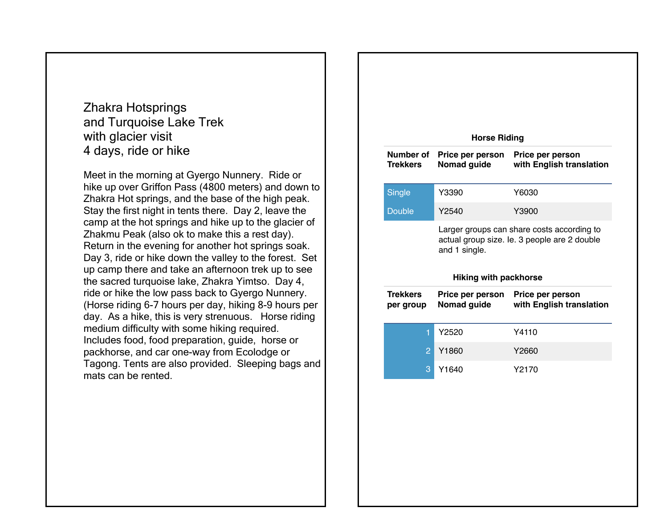Zhakra Hotsprings and Turquoise Lake Trek with glacier visit 4 days, ride or hike

Meet in the morning at Gyergo Nunnery. Ride or hike up over Griffon Pass (4800 meters) and down to Zhakra Hot springs, and the base of the high peak. Stay the first night in tents there. Day 2, leave the camp at the hot springs and hike up to the glacier of Zhakmu Peak (also ok to make this a rest day). Return in the evening for another hot springs soak. Day 3, ride or hike down the valley to the forest. Set up camp there and take an afternoon trek up to see the sacred turquoise lake, Zhakra Yimtso. Day 4, ride or hike the low pass back to Gyergo Nunnery. (Horse riding 6-7 hours per day, hiking 8-9 hours per day. As a hike, this is very strenuous. Horse riding medium difficulty with some hiking required. Includes food, food preparation, guide, horse or packhorse, and car one-way from Ecolodge or Tagong. Tents are also provided. Sleeping bags and mats can be rented.

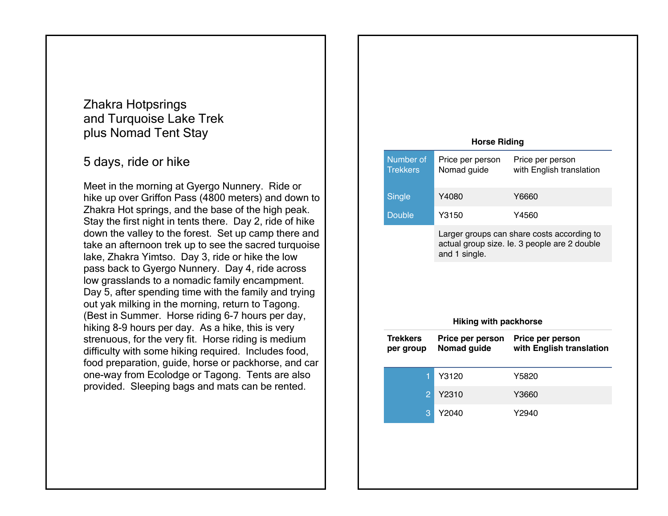#### Zhakra Hotpsrings and Turquoise Lake Trek plus Nomad Tent Stay

### 5 days, ride or hike

Meet in the morning at Gyergo Nunnery. Ride or hike up over Griffon Pass (4800 meters) and down to Zhakra Hot springs, and the base of the high peak. Stay the first night in tents there. Day 2, ride of hike down the valley to the forest. Set up camp there and take an afternoon trek up to see the sacred turquoise lake, Zhakra Yimtso. Day 3, ride or hike the low pass back to Gyergo Nunnery. Day 4, ride across low grasslands to a nomadic family encampment. Day 5, after spending time with the family and trying out yak milking in the morning, return to Tagong. (Best in Summer. Horse riding 6-7 hours per day, hiking 8-9 hours per day. As a hike, this is very strenuous, for the very fit. Horse riding is medium difficulty with some hiking required. Includes food, food preparation, guide, horse or packhorse, and car one-way from Ecolodge or Tagong. Tents are also provided. Sleeping bags and mats can be rented.

| <b>Horse Riding</b>          |                                 |                                                                                            |  |
|------------------------------|---------------------------------|--------------------------------------------------------------------------------------------|--|
| Number of<br><b>Trekkers</b> | Price per person<br>Nomad guide | Price per person<br>with English translation                                               |  |
| Single                       | Y4080                           | Y6660                                                                                      |  |
| <b>Double</b>                | Y3150                           | Y4560                                                                                      |  |
|                              | and 1 single.                   | Larger groups can share costs according to<br>actual group size. le. 3 people are 2 double |  |
|                              |                                 |                                                                                            |  |
|                              | <b>Hiking with packhorse</b>    |                                                                                            |  |
| <b>Trekkers</b><br>per group | Price per person<br>Nomad guide | Price per person<br>with English translation                                               |  |
| 1                            | Y3120                           | Y5820                                                                                      |  |
| $\overline{2}$               | Y2310                           | Y3660                                                                                      |  |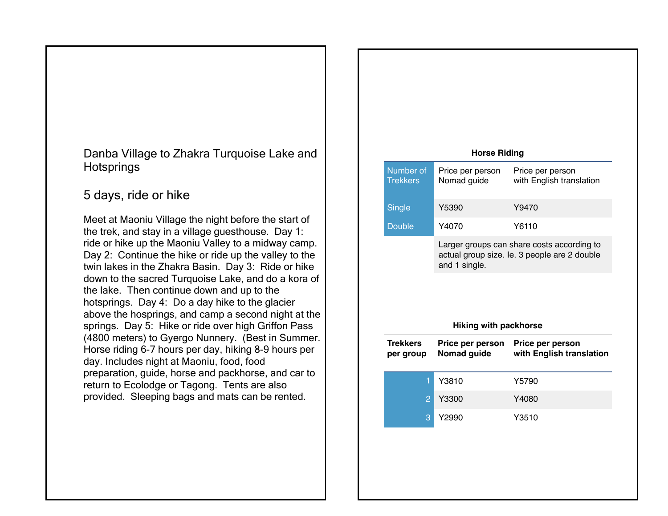#### Danba Village to Zhakra Turquoise Lake and **Hotsprings**

## 5 days, ride or hike

Meet at Maoniu Village the night before the start of the trek, and stay in a village guesthouse. Day 1: ride or hike up the Maoniu Valley to a midway camp. Day 2: Continue the hike or ride up the valley to the twin lakes in the Zhakra Basin. Day 3: Ride or hike down to the sacred Turquoise Lake, and do a kora of the lake. Then continue down and up to the hotsprings. Day 4: Do a day hike to the glacier above the hosprings, and camp a second night at the springs. Day 5: Hike or ride over high Griffon Pass (4800 meters) to Gyergo Nunnery. (Best in Summer. Horse riding 6-7 hours per day, hiking 8-9 hours per day. Includes night at Maoniu, food, food preparation, guide, horse and packhorse, and car to return to Ecolodge or Tagong. Tents are also provided. Sleeping bags and mats can be rented.

|                                                                                                                                             | <b>Horse Riding</b>             |                                              |  |
|---------------------------------------------------------------------------------------------------------------------------------------------|---------------------------------|----------------------------------------------|--|
| Number of<br><b>Trekkers</b>                                                                                                                | Price per person<br>Nomad guide | Price per person<br>with English translation |  |
| Single                                                                                                                                      | Y5390                           | Y9470                                        |  |
| <b>Double</b>                                                                                                                               | Y4070                           | Y6110                                        |  |
| Larger groups can share costs according to<br>actual group size. le. 3 people are 2 double<br>and 1 single.<br><b>Hiking with packhorse</b> |                                 |                                              |  |
|                                                                                                                                             |                                 |                                              |  |
| <b>Trekkers</b><br>per group                                                                                                                | Price per person<br>Nomad guide | Price per person<br>with English translation |  |
| 1                                                                                                                                           | Y3810                           | Y5790                                        |  |
| $\overline{2}$                                                                                                                              | Y3300                           | Y4080                                        |  |